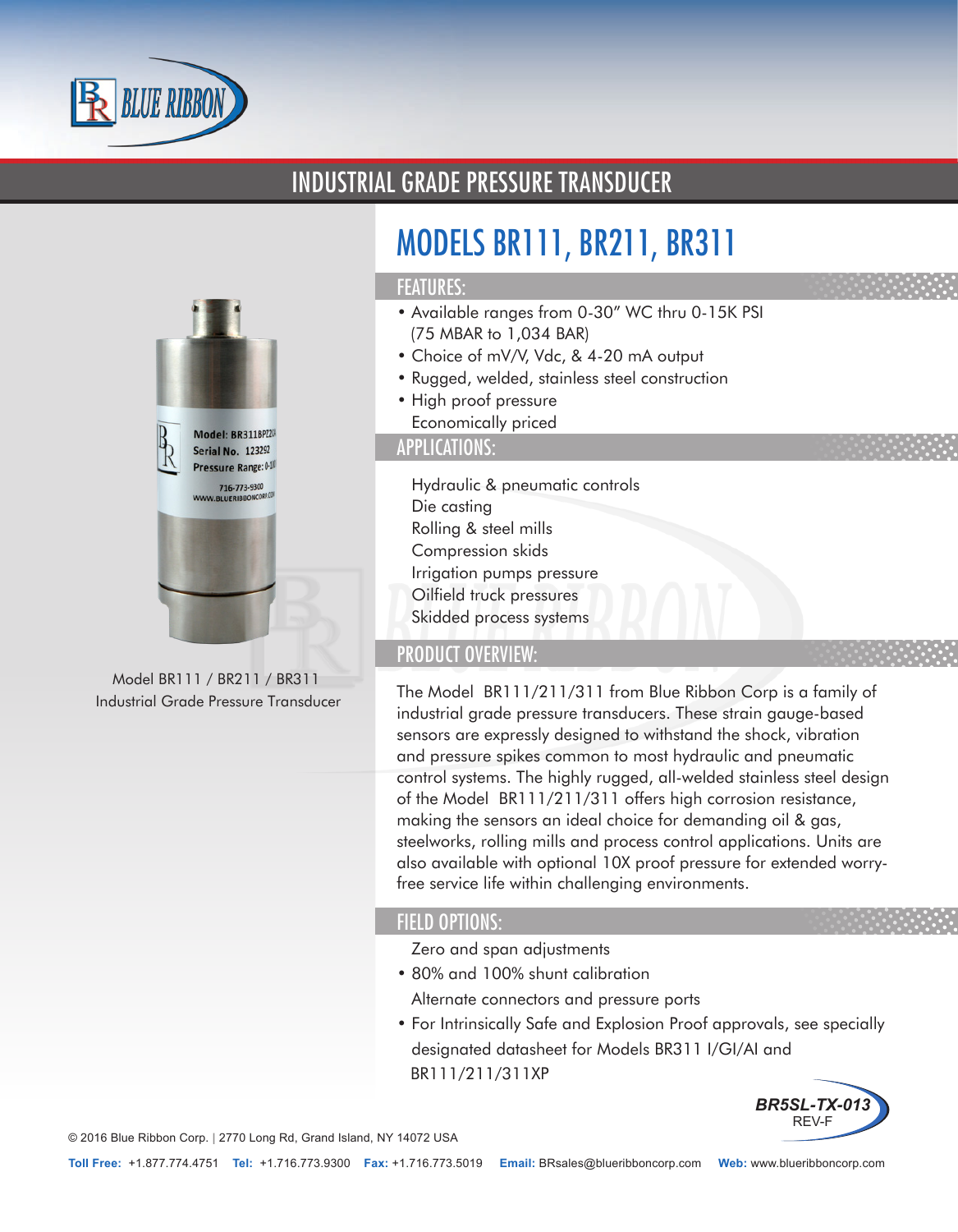

# INDUSTRIAL GRADE PRESSURE TRANSDUCER



Model BR111 / BR211 / BR311 Industrial Grade Pressure Transducer

# MODELS BR111, BR211, BR311

### FEATURES:

- Available ranges from 0-30" WC thru 0-15K PSI (75 MBAR to 1,034 BAR)
- Choice of mV/V, Vdc, & 4-20 mA output
- Rugged, welded, stainless steel construction
- High proof pressure
- Economically priced

### APPLICATIONS:

- Hydraulic & pneumatic controls
- Die casting
- Rolling & steel mills
- Compression skids
- Irrigation pumps pressure
- Oilfield truck pressures
- Skidded process systems

# PRODUCT OVERVIEW:

The Model BR111/211/311 from Blue Ribbon Corp is a family of industrial grade pressure transducers. These strain gauge-based sensors are expressly designed to withstand the shock, vibration and pressure spikes common to most hydraulic and pneumatic control systems. The highly rugged, all-welded stainless steel design of the Model BR111/211/311 offers high corrosion resistance, making the sensors an ideal choice for demanding oil & gas, steelworks, rolling mills and process control applications. Units are also available with optional 10X proof pressure for extended worryfree service life within challenging environments.

#### FIELD OPTIONS:

- Zero and span adjustments
- 80% and 100% shunt calibration
- Alternate connectors and pressure ports
- For Intrinsically Safe and Explosion Proof approvals, see specially designated datasheet for Models BR311 I/GI/AI and BR111/211/311XP



© 2016 Blue Ribbon Corp. *<sup>|</sup>* 2770 Long Rd, Grand Island, NY 14072 USA